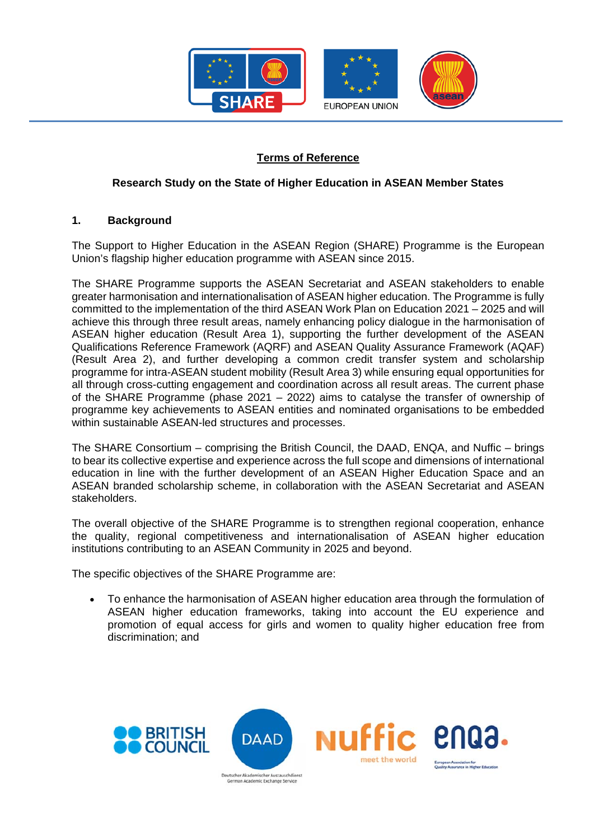

## **Terms of Reference**

## **Research Study on the State of Higher Education in ASEAN Member States**

#### **1. Background**

The Support to Higher Education in the ASEAN Region (SHARE) Programme is the European Union's flagship higher education programme with ASEAN since 2015.

The SHARE Programme supports the ASEAN Secretariat and ASEAN stakeholders to enable greater harmonisation and internationalisation of ASEAN higher education. The Programme is fully committed to the implementation of the third ASEAN Work Plan on Education 2021 – 2025 and will achieve this through three result areas, namely enhancing policy dialogue in the harmonisation of ASEAN higher education (Result Area 1), supporting the further development of the ASEAN Qualifications Reference Framework (AQRF) and ASEAN Quality Assurance Framework (AQAF) (Result Area 2), and further developing a common credit transfer system and scholarship programme for intra-ASEAN student mobility (Result Area 3) while ensuring equal opportunities for all through cross-cutting engagement and coordination across all result areas. The current phase of the SHARE Programme (phase 2021 – 2022) aims to catalyse the transfer of ownership of programme key achievements to ASEAN entities and nominated organisations to be embedded within sustainable ASEAN-led structures and processes.

The SHARE Consortium – comprising the British Council, the DAAD, ENQA, and Nuffic – brings to bear its collective expertise and experience across the full scope and dimensions of international education in line with the further development of an ASEAN Higher Education Space and an ASEAN branded scholarship scheme, in collaboration with the ASEAN Secretariat and ASEAN stakeholders.

The overall objective of the SHARE Programme is to strengthen regional cooperation, enhance the quality, regional competitiveness and internationalisation of ASEAN higher education institutions contributing to an ASEAN Community in 2025 and beyond.

The specific objectives of the SHARE Programme are:

 To enhance the harmonisation of ASEAN higher education area through the formulation of ASEAN higher education frameworks, taking into account the EU experience and promotion of equal access for girls and women to quality higher education free from discrimination; and

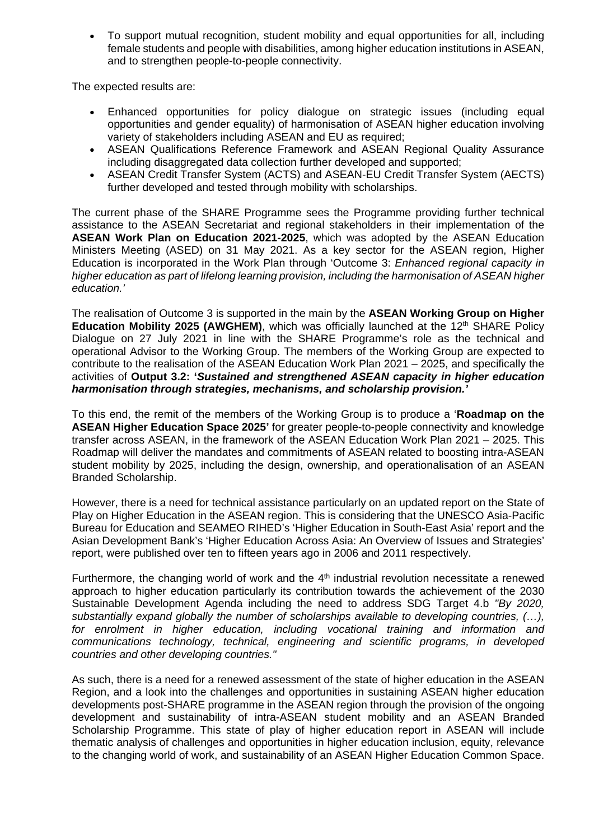To support mutual recognition, student mobility and equal opportunities for all, including female students and people with disabilities, among higher education institutions in ASEAN, and to strengthen people-to-people connectivity.

The expected results are:

- Enhanced opportunities for policy dialogue on strategic issues (including equal opportunities and gender equality) of harmonisation of ASEAN higher education involving variety of stakeholders including ASEAN and EU as required;
- ASEAN Qualifications Reference Framework and ASEAN Regional Quality Assurance including disaggregated data collection further developed and supported;
- ASEAN Credit Transfer System (ACTS) and ASEAN-EU Credit Transfer System (AECTS) further developed and tested through mobility with scholarships.

The current phase of the SHARE Programme sees the Programme providing further technical assistance to the ASEAN Secretariat and regional stakeholders in their implementation of the **ASEAN Work Plan on Education 2021-2025**, which was adopted by the ASEAN Education Ministers Meeting (ASED) on 31 May 2021. As a key sector for the ASEAN region, Higher Education is incorporated in the Work Plan through 'Outcome 3: *Enhanced regional capacity in higher education as part of lifelong learning provision, including the harmonisation of ASEAN higher education.'* 

The realisation of Outcome 3 is supported in the main by the **ASEAN Working Group on Higher Education Mobility 2025 (AWGHEM)**, which was officially launched at the 12<sup>th</sup> SHARE Policy Dialogue on 27 July 2021 in line with the SHARE Programme's role as the technical and operational Advisor to the Working Group. The members of the Working Group are expected to contribute to the realisation of the ASEAN Education Work Plan 2021 – 2025, and specifically the activities of **Output 3.2: '***Sustained and strengthened ASEAN capacity in higher education harmonisation through strategies, mechanisms, and scholarship provision.'*

To this end, the remit of the members of the Working Group is to produce a '**Roadmap on the ASEAN Higher Education Space 2025'** for greater people-to-people connectivity and knowledge transfer across ASEAN, in the framework of the ASEAN Education Work Plan 2021 – 2025. This Roadmap will deliver the mandates and commitments of ASEAN related to boosting intra-ASEAN student mobility by 2025, including the design, ownership, and operationalisation of an ASEAN Branded Scholarship.

However, there is a need for technical assistance particularly on an updated report on the State of Play on Higher Education in the ASEAN region. This is considering that the UNESCO Asia-Pacific Bureau for Education and SEAMEO RIHED's 'Higher Education in South-East Asia' report and the Asian Development Bank's 'Higher Education Across Asia: An Overview of Issues and Strategies' report, were published over ten to fifteen years ago in 2006 and 2011 respectively.

Furthermore, the changing world of work and the  $4<sup>th</sup>$  industrial revolution necessitate a renewed approach to higher education particularly its contribution towards the achievement of the 2030 Sustainable Development Agenda including the need to address SDG Target 4.b *"By 2020, substantially expand globally the number of scholarships available to developing countries, (…), for enrolment in higher education, including vocational training and information and communications technology, technical, engineering and scientific programs, in developed countries and other developing countries."* 

As such, there is a need for a renewed assessment of the state of higher education in the ASEAN Region, and a look into the challenges and opportunities in sustaining ASEAN higher education developments post-SHARE programme in the ASEAN region through the provision of the ongoing development and sustainability of intra-ASEAN student mobility and an ASEAN Branded Scholarship Programme. This state of play of higher education report in ASEAN will include thematic analysis of challenges and opportunities in higher education inclusion, equity, relevance to the changing world of work, and sustainability of an ASEAN Higher Education Common Space.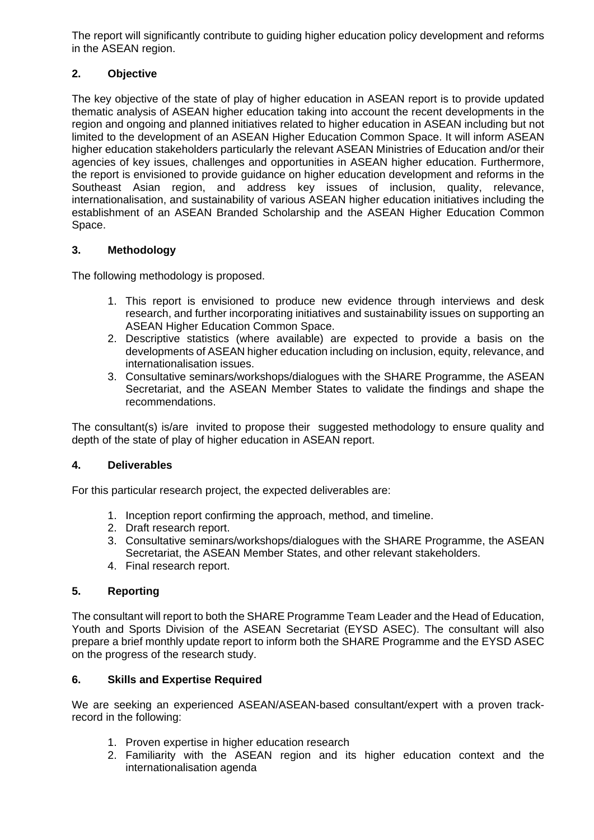The report will significantly contribute to guiding higher education policy development and reforms in the ASEAN region.

## **2. Objective**

The key objective of the state of play of higher education in ASEAN report is to provide updated thematic analysis of ASEAN higher education taking into account the recent developments in the region and ongoing and planned initiatives related to higher education in ASEAN including but not limited to the development of an ASEAN Higher Education Common Space. It will inform ASEAN higher education stakeholders particularly the relevant ASEAN Ministries of Education and/or their agencies of key issues, challenges and opportunities in ASEAN higher education. Furthermore, the report is envisioned to provide guidance on higher education development and reforms in the Southeast Asian region, and address key issues of inclusion, quality, relevance, internationalisation, and sustainability of various ASEAN higher education initiatives including the establishment of an ASEAN Branded Scholarship and the ASEAN Higher Education Common Space.

# **3. Methodology**

The following methodology is proposed.

- 1. This report is envisioned to produce new evidence through interviews and desk research, and further incorporating initiatives and sustainability issues on supporting an ASEAN Higher Education Common Space.
- 2. Descriptive statistics (where available) are expected to provide a basis on the developments of ASEAN higher education including on inclusion, equity, relevance, and internationalisation issues.
- 3. Consultative seminars/workshops/dialogues with the SHARE Programme, the ASEAN Secretariat, and the ASEAN Member States to validate the findings and shape the recommendations.

The consultant(s) is/are invited to propose their suggested methodology to ensure quality and depth of the state of play of higher education in ASEAN report.

## **4. Deliverables**

For this particular research project, the expected deliverables are:

- 1. Inception report confirming the approach, method, and timeline.
- 2. Draft research report.
- 3. Consultative seminars/workshops/dialogues with the SHARE Programme, the ASEAN Secretariat, the ASEAN Member States, and other relevant stakeholders.
- 4. Final research report.

## **5. Reporting**

The consultant will report to both the SHARE Programme Team Leader and the Head of Education, Youth and Sports Division of the ASEAN Secretariat (EYSD ASEC). The consultant will also prepare a brief monthly update report to inform both the SHARE Programme and the EYSD ASEC on the progress of the research study.

## **6. Skills and Expertise Required**

We are seeking an experienced ASEAN/ASEAN-based consultant/expert with a proven trackrecord in the following:

- 1. Proven expertise in higher education research
- 2. Familiarity with the ASEAN region and its higher education context and the internationalisation agenda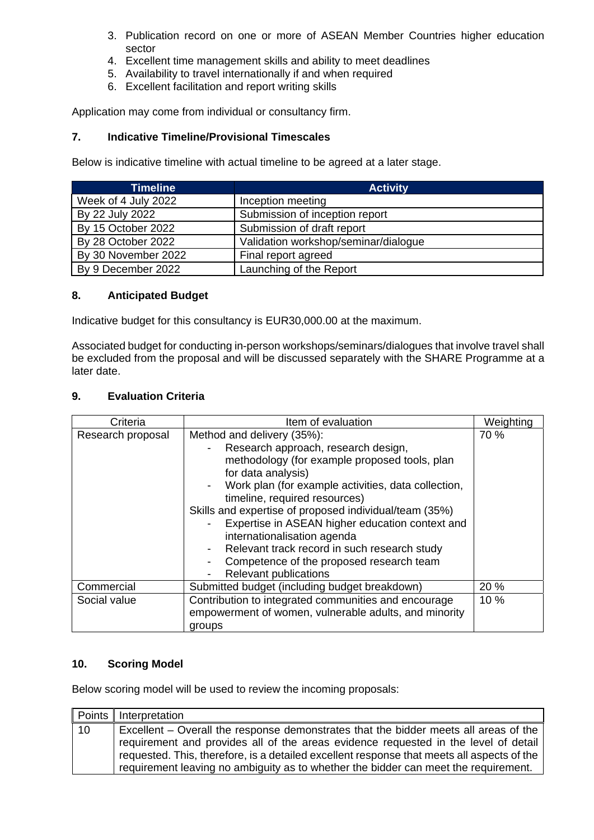- 3. Publication record on one or more of ASEAN Member Countries higher education sector
- 4. Excellent time management skills and ability to meet deadlines
- 5. Availability to travel internationally if and when required
- 6. Excellent facilitation and report writing skills

Application may come from individual or consultancy firm.

#### **7. Indicative Timeline/Provisional Timescales**

Below is indicative timeline with actual timeline to be agreed at a later stage.

| <b>Timeline</b>     | <b>Activity</b>                      |
|---------------------|--------------------------------------|
| Week of 4 July 2022 | Inception meeting                    |
| By 22 July 2022     | Submission of inception report       |
| By 15 October 2022  | Submission of draft report           |
| By 28 October 2022  | Validation workshop/seminar/dialogue |
| By 30 November 2022 | Final report agreed                  |
| By 9 December 2022  | Launching of the Report              |

#### **8. Anticipated Budget**

Indicative budget for this consultancy is EUR30,000.00 at the maximum.

Associated budget for conducting in-person workshops/seminars/dialogues that involve travel shall be excluded from the proposal and will be discussed separately with the SHARE Programme at a later date.

#### **9. Evaluation Criteria**

| Criteria          | Item of evaluation                                                                                                                                                                                                                                                                                                                                                                                                                                                                                       | Weighting |
|-------------------|----------------------------------------------------------------------------------------------------------------------------------------------------------------------------------------------------------------------------------------------------------------------------------------------------------------------------------------------------------------------------------------------------------------------------------------------------------------------------------------------------------|-----------|
| Research proposal | Method and delivery (35%):<br>Research approach, research design,<br>methodology (for example proposed tools, plan<br>for data analysis)<br>Work plan (for example activities, data collection,<br>timeline, required resources)<br>Skills and expertise of proposed individual/team (35%)<br>Expertise in ASEAN higher education context and<br>internationalisation agenda<br>Relevant track record in such research study<br>Competence of the proposed research team<br><b>Relevant publications</b> | 70 %      |
| Commercial        | Submitted budget (including budget breakdown)                                                                                                                                                                                                                                                                                                                                                                                                                                                            | 20 %      |
| Social value      | Contribution to integrated communities and encourage<br>empowerment of women, vulnerable adults, and minority<br>groups                                                                                                                                                                                                                                                                                                                                                                                  | 10 %      |

#### **10. Scoring Model**

Below scoring model will be used to review the incoming proposals:

|    | Points Interpretation                                                                                                                                                                                                                                                                                                                                            |
|----|------------------------------------------------------------------------------------------------------------------------------------------------------------------------------------------------------------------------------------------------------------------------------------------------------------------------------------------------------------------|
| 10 | Excellent – Overall the response demonstrates that the bidder meets all areas of the<br>requirement and provides all of the areas evidence requested in the level of detail<br>requested. This, therefore, is a detailed excellent response that meets all aspects of the<br>requirement leaving no ambiguity as to whether the bidder can meet the requirement. |